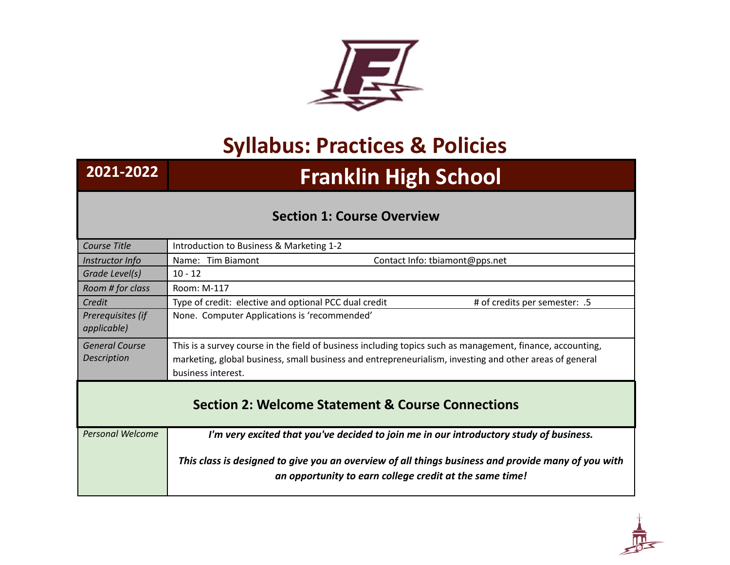

## **Syllabus: Practices & Policies**

## **2021-2022 Franklin High School**

## **Section 1: Course Overview**

| Course Title                     | Introduction to Business & Marketing 1-2                                                                                                                      |  |  |
|----------------------------------|---------------------------------------------------------------------------------------------------------------------------------------------------------------|--|--|
| Instructor Info                  | Name: Tim Biamont<br>Contact Info: tbiamont@pps.net                                                                                                           |  |  |
| Grade Level(s)                   | $10 - 12$                                                                                                                                                     |  |  |
| Room # for class                 | Room: M-117                                                                                                                                                   |  |  |
| Credit                           | Type of credit: elective and optional PCC dual credit<br># of credits per semester: .5                                                                        |  |  |
| Prerequisites (if<br>applicable) | None. Computer Applications is 'recommended'                                                                                                                  |  |  |
| <b>General Course</b>            | This is a survey course in the field of business including topics such as management, finance, accounting,                                                    |  |  |
| <b>Description</b>               | marketing, global business, small business and entrepreneurialism, investing and other areas of general                                                       |  |  |
|                                  | business interest.                                                                                                                                            |  |  |
|                                  | <b>Section 2: Welcome Statement &amp; Course Connections</b>                                                                                                  |  |  |
| <b>Personal Welcome</b>          | I'm very excited that you've decided to join me in our introductory study of business.                                                                        |  |  |
|                                  | This class is designed to give you an overview of all things business and provide many of you with<br>an opportunity to earn college credit at the same time! |  |  |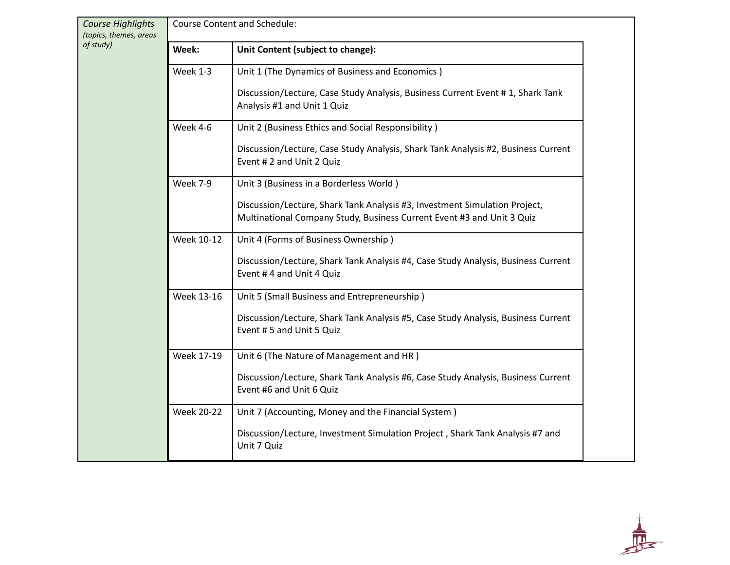| Course Highlights<br>(topics, themes, areas | <b>Course Content and Schedule:</b> |                                                                                                                                                      |  |
|---------------------------------------------|-------------------------------------|------------------------------------------------------------------------------------------------------------------------------------------------------|--|
| of study)                                   | Week:                               | Unit Content (subject to change):                                                                                                                    |  |
|                                             | Week 1-3                            | Unit 1 (The Dynamics of Business and Economics)                                                                                                      |  |
|                                             |                                     | Discussion/Lecture, Case Study Analysis, Business Current Event # 1, Shark Tank<br>Analysis #1 and Unit 1 Quiz                                       |  |
|                                             | Week 4-6                            | Unit 2 (Business Ethics and Social Responsibility)                                                                                                   |  |
|                                             |                                     | Discussion/Lecture, Case Study Analysis, Shark Tank Analysis #2, Business Current<br>Event # 2 and Unit 2 Quiz                                       |  |
|                                             | <b>Week 7-9</b>                     | Unit 3 (Business in a Borderless World)                                                                                                              |  |
|                                             |                                     | Discussion/Lecture, Shark Tank Analysis #3, Investment Simulation Project,<br>Multinational Company Study, Business Current Event #3 and Unit 3 Quiz |  |
|                                             | Week 10-12                          | Unit 4 (Forms of Business Ownership)                                                                                                                 |  |
|                                             |                                     | Discussion/Lecture, Shark Tank Analysis #4, Case Study Analysis, Business Current<br>Event #4 and Unit 4 Quiz                                        |  |
|                                             | Week 13-16                          | Unit 5 (Small Business and Entrepreneurship)                                                                                                         |  |
|                                             |                                     | Discussion/Lecture, Shark Tank Analysis #5, Case Study Analysis, Business Current<br>Event # 5 and Unit 5 Quiz                                       |  |
|                                             | Week 17-19                          | Unit 6 (The Nature of Management and HR)                                                                                                             |  |
|                                             |                                     | Discussion/Lecture, Shark Tank Analysis #6, Case Study Analysis, Business Current<br>Event #6 and Unit 6 Quiz                                        |  |
|                                             | <b>Week 20-22</b>                   | Unit 7 (Accounting, Money and the Financial System)                                                                                                  |  |
|                                             |                                     | Discussion/Lecture, Investment Simulation Project, Shark Tank Analysis #7 and<br>Unit 7 Quiz                                                         |  |

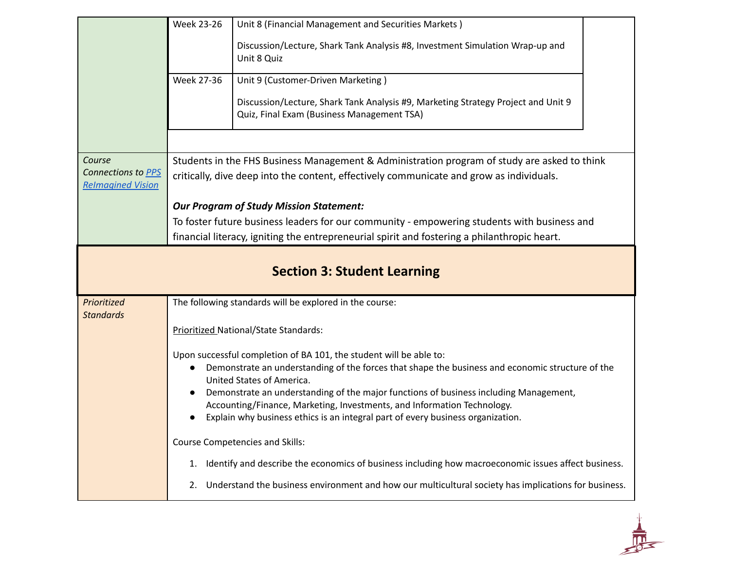|                                                | <b>Week 23-26</b>                                                                                                                                          | Unit 8 (Financial Management and Securities Markets)                                                                            |  |  |  |
|------------------------------------------------|------------------------------------------------------------------------------------------------------------------------------------------------------------|---------------------------------------------------------------------------------------------------------------------------------|--|--|--|
|                                                |                                                                                                                                                            | Discussion/Lecture, Shark Tank Analysis #8, Investment Simulation Wrap-up and<br>Unit 8 Quiz                                    |  |  |  |
|                                                | <b>Week 27-36</b>                                                                                                                                          | Unit 9 (Customer-Driven Marketing)                                                                                              |  |  |  |
|                                                |                                                                                                                                                            | Discussion/Lecture, Shark Tank Analysis #9, Marketing Strategy Project and Unit 9<br>Quiz, Final Exam (Business Management TSA) |  |  |  |
|                                                |                                                                                                                                                            |                                                                                                                                 |  |  |  |
| Course                                         |                                                                                                                                                            | Students in the FHS Business Management & Administration program of study are asked to think                                    |  |  |  |
| Connections to PPS<br><b>Relmagined Vision</b> | critically, dive deep into the content, effectively communicate and grow as individuals.                                                                   |                                                                                                                                 |  |  |  |
|                                                |                                                                                                                                                            | <b>Our Program of Study Mission Statement:</b>                                                                                  |  |  |  |
|                                                |                                                                                                                                                            | To foster future business leaders for our community - empowering students with business and                                     |  |  |  |
|                                                |                                                                                                                                                            | financial literacy, igniting the entrepreneurial spirit and fostering a philanthropic heart.                                    |  |  |  |
|                                                |                                                                                                                                                            | <b>Section 3: Student Learning</b>                                                                                              |  |  |  |
| Prioritized                                    |                                                                                                                                                            | The following standards will be explored in the course:                                                                         |  |  |  |
| <b>Standards</b>                               | Prioritized National/State Standards:                                                                                                                      |                                                                                                                                 |  |  |  |
|                                                |                                                                                                                                                            | Upon successful completion of BA 101, the student will be able to:                                                              |  |  |  |
|                                                | $\bullet$                                                                                                                                                  | Demonstrate an understanding of the forces that shape the business and economic structure of the<br>United States of America.   |  |  |  |
|                                                | Demonstrate an understanding of the major functions of business including Management,<br>$\bullet$                                                         |                                                                                                                                 |  |  |  |
|                                                | Accounting/Finance, Marketing, Investments, and Information Technology.<br>Explain why business ethics is an integral part of every business organization. |                                                                                                                                 |  |  |  |
|                                                |                                                                                                                                                            |                                                                                                                                 |  |  |  |
|                                                |                                                                                                                                                            | Course Competencies and Skills:                                                                                                 |  |  |  |
|                                                | 1.                                                                                                                                                         | Identify and describe the economics of business including how macroeconomic issues affect business.                             |  |  |  |
|                                                | 2.                                                                                                                                                         | Understand the business environment and how our multicultural society has implications for business.                            |  |  |  |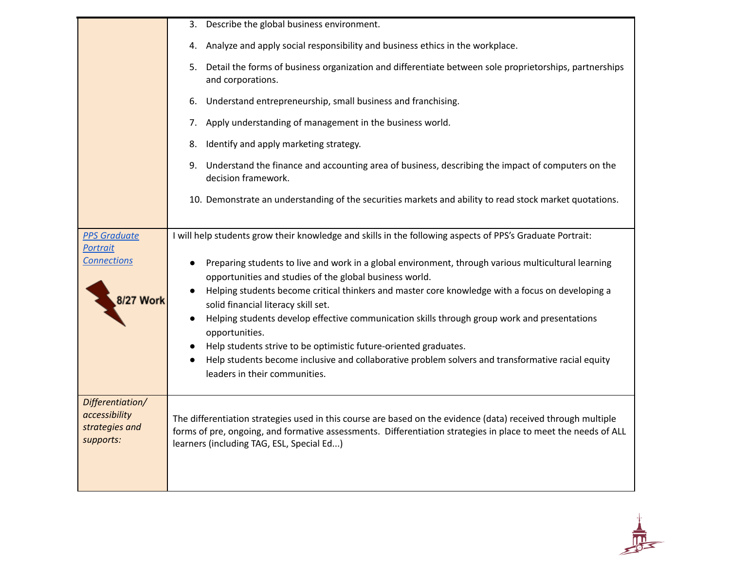|                                                                  | 3. Describe the global business environment.                                                                                                                                                                                                                                                                                                                                                                                                                                                                                                                                                                                          |  |  |  |
|------------------------------------------------------------------|---------------------------------------------------------------------------------------------------------------------------------------------------------------------------------------------------------------------------------------------------------------------------------------------------------------------------------------------------------------------------------------------------------------------------------------------------------------------------------------------------------------------------------------------------------------------------------------------------------------------------------------|--|--|--|
|                                                                  | 4. Analyze and apply social responsibility and business ethics in the workplace.                                                                                                                                                                                                                                                                                                                                                                                                                                                                                                                                                      |  |  |  |
|                                                                  | 5. Detail the forms of business organization and differentiate between sole proprietorships, partnerships<br>and corporations.                                                                                                                                                                                                                                                                                                                                                                                                                                                                                                        |  |  |  |
|                                                                  | Understand entrepreneurship, small business and franchising.<br>6.                                                                                                                                                                                                                                                                                                                                                                                                                                                                                                                                                                    |  |  |  |
|                                                                  | 7. Apply understanding of management in the business world.                                                                                                                                                                                                                                                                                                                                                                                                                                                                                                                                                                           |  |  |  |
|                                                                  | Identify and apply marketing strategy.<br>8.                                                                                                                                                                                                                                                                                                                                                                                                                                                                                                                                                                                          |  |  |  |
|                                                                  | 9. Understand the finance and accounting area of business, describing the impact of computers on the<br>decision framework.                                                                                                                                                                                                                                                                                                                                                                                                                                                                                                           |  |  |  |
|                                                                  | 10. Demonstrate an understanding of the securities markets and ability to read stock market quotations.                                                                                                                                                                                                                                                                                                                                                                                                                                                                                                                               |  |  |  |
| <b>PPS Graduate</b><br><b>Portrait</b>                           | I will help students grow their knowledge and skills in the following aspects of PPS's Graduate Portrait:                                                                                                                                                                                                                                                                                                                                                                                                                                                                                                                             |  |  |  |
| <b>Connections</b><br>8/27 Work                                  | Preparing students to live and work in a global environment, through various multicultural learning<br>opportunities and studies of the global business world.<br>Helping students become critical thinkers and master core knowledge with a focus on developing a<br>solid financial literacy skill set.<br>Helping students develop effective communication skills through group work and presentations<br>opportunities.<br>Help students strive to be optimistic future-oriented graduates.<br>Help students become inclusive and collaborative problem solvers and transformative racial equity<br>leaders in their communities. |  |  |  |
| Differentiation/<br>accessibility<br>strategies and<br>supports: | The differentiation strategies used in this course are based on the evidence (data) received through multiple<br>forms of pre, ongoing, and formative assessments. Differentiation strategies in place to meet the needs of ALL<br>learners (including TAG, ESL, Special Ed)                                                                                                                                                                                                                                                                                                                                                          |  |  |  |

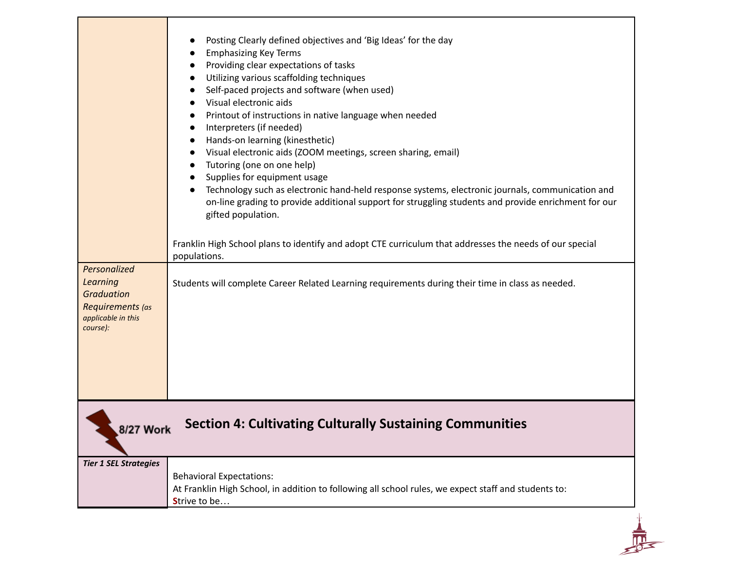| Personalized<br><b>Learning</b><br><b>Graduation</b><br>Requirements (as<br>applicable in this<br>course):<br><b>8/27 Work</b> | Posting Clearly defined objectives and 'Big Ideas' for the day<br><b>Emphasizing Key Terms</b><br>Providing clear expectations of tasks<br>Utilizing various scaffolding techniques<br>Self-paced projects and software (when used)<br>Visual electronic aids<br>Printout of instructions in native language when needed<br>Interpreters (if needed)<br>Hands-on learning (kinesthetic)<br>Visual electronic aids (ZOOM meetings, screen sharing, email)<br>Tutoring (one on one help)<br>Supplies for equipment usage<br>Technology such as electronic hand-held response systems, electronic journals, communication and<br>on-line grading to provide additional support for struggling students and provide enrichment for our<br>gifted population.<br>Franklin High School plans to identify and adopt CTE curriculum that addresses the needs of our special<br>populations.<br>Students will complete Career Related Learning requirements during their time in class as needed.<br><b>Section 4: Cultivating Culturally Sustaining Communities</b> |
|--------------------------------------------------------------------------------------------------------------------------------|-------------------------------------------------------------------------------------------------------------------------------------------------------------------------------------------------------------------------------------------------------------------------------------------------------------------------------------------------------------------------------------------------------------------------------------------------------------------------------------------------------------------------------------------------------------------------------------------------------------------------------------------------------------------------------------------------------------------------------------------------------------------------------------------------------------------------------------------------------------------------------------------------------------------------------------------------------------------------------------------------------------------------------------------------------------|
| <b>Tier 1 SEL Strategies</b>                                                                                                   | <b>Behavioral Expectations:</b><br>At Franklin High School, in addition to following all school rules, we expect staff and students to:<br>Strive to be                                                                                                                                                                                                                                                                                                                                                                                                                                                                                                                                                                                                                                                                                                                                                                                                                                                                                                     |
|                                                                                                                                |                                                                                                                                                                                                                                                                                                                                                                                                                                                                                                                                                                                                                                                                                                                                                                                                                                                                                                                                                                                                                                                             |

٦

т

г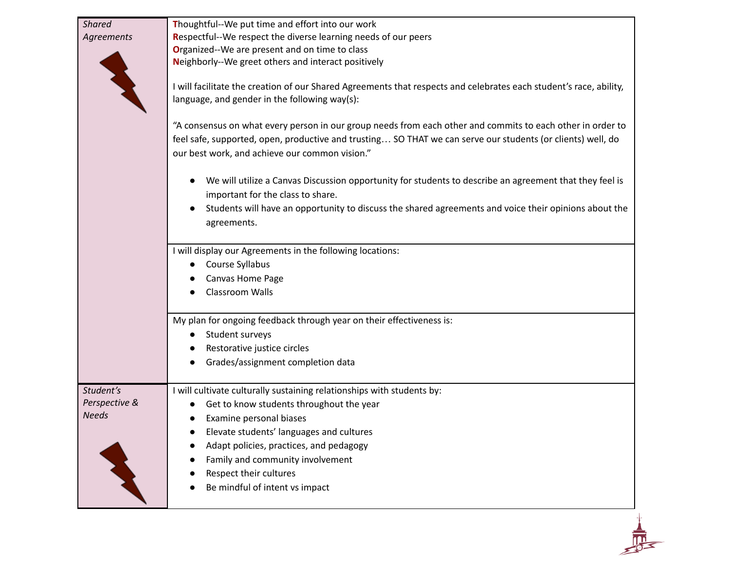| <b>Shared</b> | Thoughtful--We put time and effort into our work                                                                                                                                                                                                                            |
|---------------|-----------------------------------------------------------------------------------------------------------------------------------------------------------------------------------------------------------------------------------------------------------------------------|
| Agreements    | Respectful--We respect the diverse learning needs of our peers                                                                                                                                                                                                              |
|               | Organized--We are present and on time to class                                                                                                                                                                                                                              |
|               | Neighborly--We greet others and interact positively                                                                                                                                                                                                                         |
|               | I will facilitate the creation of our Shared Agreements that respects and celebrates each student's race, ability,<br>language, and gender in the following way(s):                                                                                                         |
|               | "A consensus on what every person in our group needs from each other and commits to each other in order to<br>feel safe, supported, open, productive and trusting SO THAT we can serve our students (or clients) well, do<br>our best work, and achieve our common vision." |
|               | We will utilize a Canvas Discussion opportunity for students to describe an agreement that they feel is<br>important for the class to share.                                                                                                                                |
|               | Students will have an opportunity to discuss the shared agreements and voice their opinions about the<br>agreements.                                                                                                                                                        |
|               | I will display our Agreements in the following locations:                                                                                                                                                                                                                   |
|               | Course Syllabus                                                                                                                                                                                                                                                             |
|               | Canvas Home Page                                                                                                                                                                                                                                                            |
|               | Classroom Walls                                                                                                                                                                                                                                                             |
|               | My plan for ongoing feedback through year on their effectiveness is:                                                                                                                                                                                                        |
|               | Student surveys                                                                                                                                                                                                                                                             |
|               | Restorative justice circles                                                                                                                                                                                                                                                 |
|               | Grades/assignment completion data                                                                                                                                                                                                                                           |
| Student's     | I will cultivate culturally sustaining relationships with students by:                                                                                                                                                                                                      |
| Perspective & | Get to know students throughout the year                                                                                                                                                                                                                                    |
| <b>Needs</b>  | Examine personal biases                                                                                                                                                                                                                                                     |
|               | Elevate students' languages and cultures                                                                                                                                                                                                                                    |
|               | Adapt policies, practices, and pedagogy                                                                                                                                                                                                                                     |
|               | Family and community involvement                                                                                                                                                                                                                                            |
|               | Respect their cultures                                                                                                                                                                                                                                                      |
|               |                                                                                                                                                                                                                                                                             |
|               | Be mindful of intent vs impact                                                                                                                                                                                                                                              |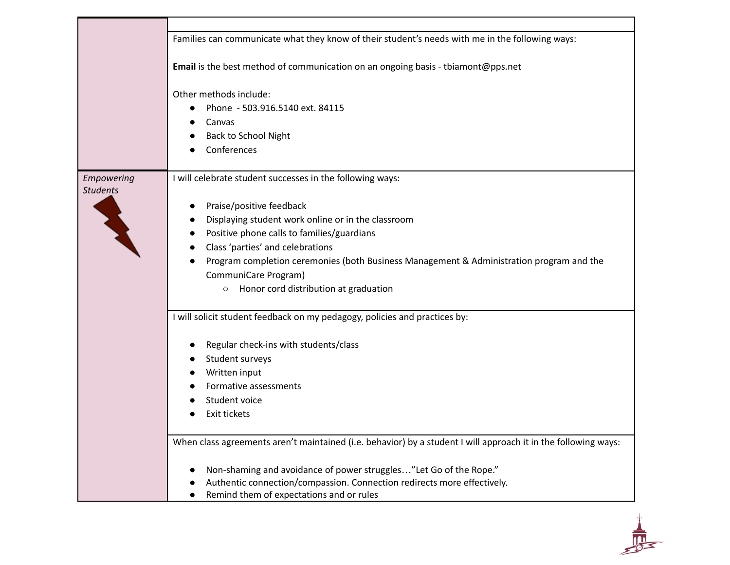|                               | Families can communicate what they know of their student's needs with me in the following ways:                                                                                                                                                                                                                                                                                                       |
|-------------------------------|-------------------------------------------------------------------------------------------------------------------------------------------------------------------------------------------------------------------------------------------------------------------------------------------------------------------------------------------------------------------------------------------------------|
|                               | Email is the best method of communication on an ongoing basis - tbiamont@pps.net                                                                                                                                                                                                                                                                                                                      |
|                               | Other methods include:<br>Phone - 503.916.5140 ext. 84115<br>Canvas<br><b>Back to School Night</b><br>Conferences                                                                                                                                                                                                                                                                                     |
| Empowering<br><b>Students</b> | I will celebrate student successes in the following ways:<br>Praise/positive feedback<br>Displaying student work online or in the classroom<br>Positive phone calls to families/guardians<br>Class 'parties' and celebrations<br>Program completion ceremonies (both Business Management & Administration program and the<br>CommuniCare Program)<br>Honor cord distribution at graduation<br>$\circ$ |
|                               | I will solicit student feedback on my pedagogy, policies and practices by:<br>Regular check-ins with students/class<br>Student surveys<br>Written input<br>Formative assessments<br>Student voice<br>Exit tickets                                                                                                                                                                                     |
|                               | When class agreements aren't maintained (i.e. behavior) by a student I will approach it in the following ways:                                                                                                                                                                                                                                                                                        |
|                               | Non-shaming and avoidance of power struggles"Let Go of the Rope."<br>Authentic connection/compassion. Connection redirects more effectively.<br>Remind them of expectations and or rules                                                                                                                                                                                                              |

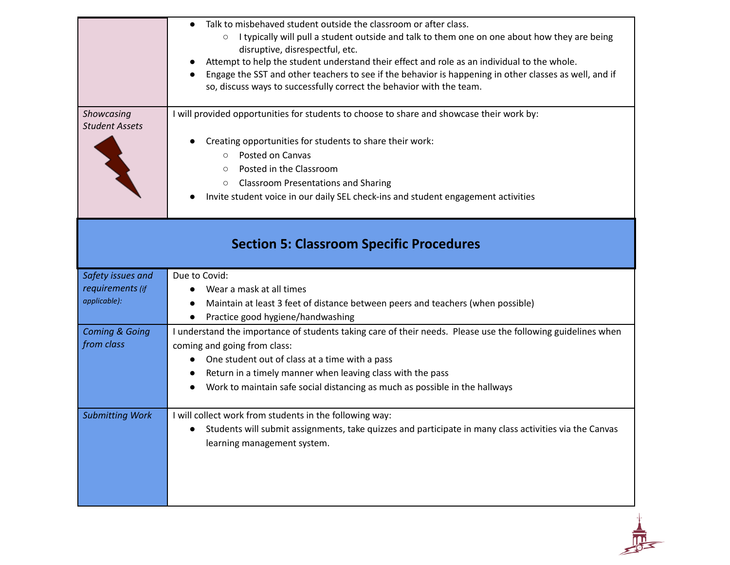| Safety issues and                       | Creating opportunities for students to share their work:<br>Posted on Canvas<br>$\circ$<br>Posted in the Classroom<br>$\circ$<br><b>Classroom Presentations and Sharing</b><br>$\circ$<br>Invite student voice in our daily SEL check-ins and student engagement activities<br><b>Section 5: Classroom Specific Procedures</b><br>Due to Covid: |
|-----------------------------------------|-------------------------------------------------------------------------------------------------------------------------------------------------------------------------------------------------------------------------------------------------------------------------------------------------------------------------------------------------|
| requirements (if<br>applicable):        | Wear a mask at all times<br>Maintain at least 3 feet of distance between peers and teachers (when possible)                                                                                                                                                                                                                                     |
|                                         | Practice good hygiene/handwashing                                                                                                                                                                                                                                                                                                               |
| <b>Coming &amp; Going</b><br>from class | I understand the importance of students taking care of their needs. Please use the following guidelines when<br>coming and going from class:<br>One student out of class at a time with a pass<br>Return in a timely manner when leaving class with the pass<br>Work to maintain safe social distancing as much as possible in the hallways     |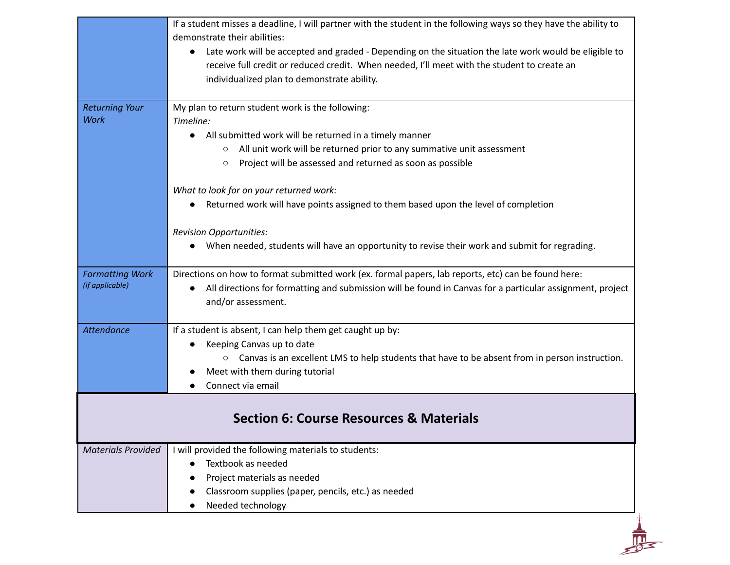|                           | If a student misses a deadline, I will partner with the student in the following ways so they have the ability to                                                                                                                                                |
|---------------------------|------------------------------------------------------------------------------------------------------------------------------------------------------------------------------------------------------------------------------------------------------------------|
|                           | demonstrate their abilities:                                                                                                                                                                                                                                     |
|                           | Late work will be accepted and graded - Depending on the situation the late work would be eligible to<br>$\bullet$<br>receive full credit or reduced credit. When needed, I'll meet with the student to create an<br>individualized plan to demonstrate ability. |
| <b>Returning Your</b>     | My plan to return student work is the following:                                                                                                                                                                                                                 |
| <b>Work</b>               | Timeline:                                                                                                                                                                                                                                                        |
|                           | • All submitted work will be returned in a timely manner                                                                                                                                                                                                         |
|                           | All unit work will be returned prior to any summative unit assessment<br>$\circ$                                                                                                                                                                                 |
|                           | Project will be assessed and returned as soon as possible<br>$\circ$                                                                                                                                                                                             |
|                           | What to look for on your returned work:                                                                                                                                                                                                                          |
|                           | Returned work will have points assigned to them based upon the level of completion                                                                                                                                                                               |
|                           | <b>Revision Opportunities:</b>                                                                                                                                                                                                                                   |
|                           | When needed, students will have an opportunity to revise their work and submit for regrading.<br>$\bullet$                                                                                                                                                       |
| <b>Formatting Work</b>    | Directions on how to format submitted work (ex. formal papers, lab reports, etc) can be found here:                                                                                                                                                              |
| (if applicable)           | All directions for formatting and submission will be found in Canvas for a particular assignment, project<br>and/or assessment.                                                                                                                                  |
| <b>Attendance</b>         | If a student is absent, I can help them get caught up by:                                                                                                                                                                                                        |
|                           | Keeping Canvas up to date                                                                                                                                                                                                                                        |
|                           | ○ Canvas is an excellent LMS to help students that have to be absent from in person instruction.                                                                                                                                                                 |
|                           | Meet with them during tutorial                                                                                                                                                                                                                                   |
|                           | Connect via email                                                                                                                                                                                                                                                |
|                           | <b>Section 6: Course Resources &amp; Materials</b>                                                                                                                                                                                                               |
|                           |                                                                                                                                                                                                                                                                  |
| <b>Materials Provided</b> | I will provided the following materials to students:                                                                                                                                                                                                             |
|                           | Textbook as needed                                                                                                                                                                                                                                               |
|                           | Project materials as needed                                                                                                                                                                                                                                      |
|                           | Classroom supplies (paper, pencils, etc.) as needed<br>Needed technology                                                                                                                                                                                         |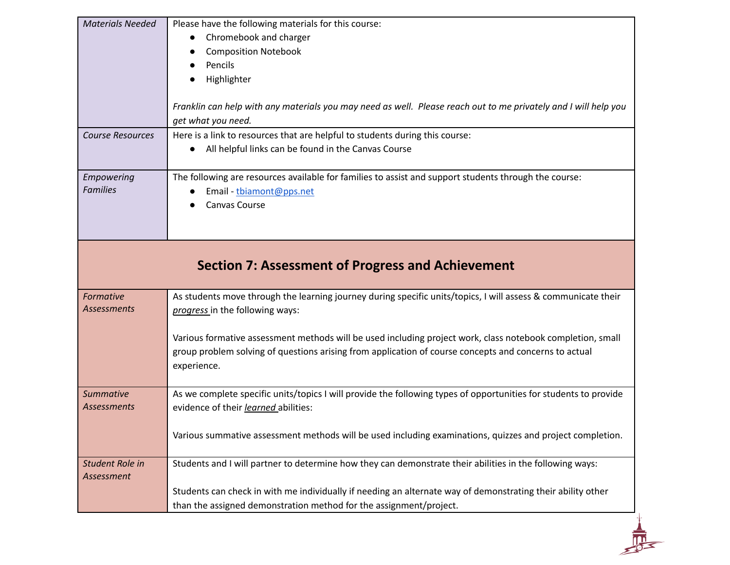| <b>Materials Needed</b><br><b>Course Resources</b> | Please have the following materials for this course:<br>Chromebook and charger<br><b>Composition Notebook</b><br>Pencils<br>Highlighter<br>Franklin can help with any materials you may need as well. Please reach out to me privately and I will help you<br>get what you need.<br>Here is a link to resources that are helpful to students during this course:<br>All helpful links can be found in the Canvas Course |  |  |
|----------------------------------------------------|-------------------------------------------------------------------------------------------------------------------------------------------------------------------------------------------------------------------------------------------------------------------------------------------------------------------------------------------------------------------------------------------------------------------------|--|--|
| Empowering<br><b>Families</b>                      | The following are resources available for families to assist and support students through the course:<br>Email - tbiamont@pps.net<br>Canvas Course                                                                                                                                                                                                                                                                      |  |  |
|                                                    | <b>Section 7: Assessment of Progress and Achievement</b>                                                                                                                                                                                                                                                                                                                                                                |  |  |
| Formative<br>Assessments                           | As students move through the learning journey during specific units/topics, I will assess & communicate their<br>progress in the following ways:<br>Various formative assessment methods will be used including project work, class notebook completion, small<br>group problem solving of questions arising from application of course concepts and concerns to actual<br>experience.                                  |  |  |
| <b>Summative</b><br><b>Assessments</b>             | As we complete specific units/topics I will provide the following types of opportunities for students to provide<br>evidence of their learned abilities:<br>Various summative assessment methods will be used including examinations, quizzes and project completion.                                                                                                                                                   |  |  |
| Student Role in<br>Assessment                      | Students and I will partner to determine how they can demonstrate their abilities in the following ways:<br>Students can check in with me individually if needing an alternate way of demonstrating their ability other<br>than the assigned demonstration method for the assignment/project.                                                                                                                           |  |  |
|                                                    |                                                                                                                                                                                                                                                                                                                                                                                                                         |  |  |